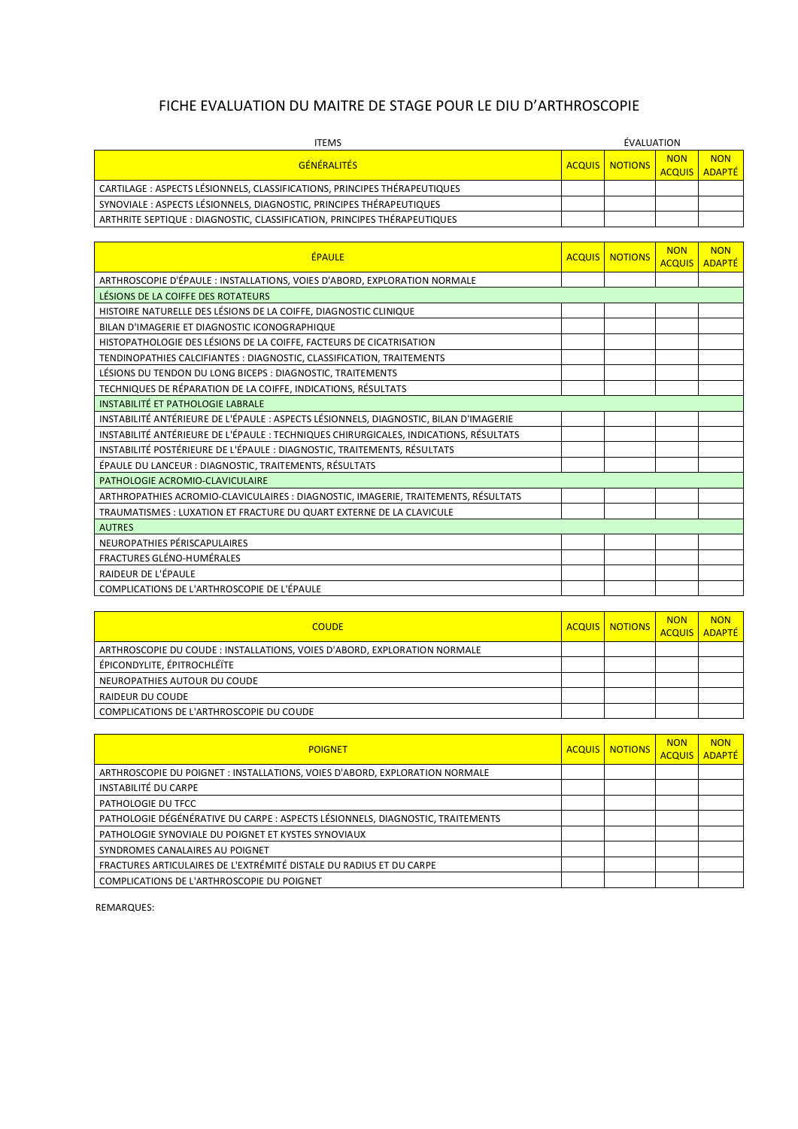## FICHE EVALUATION DU MAITRE DE STAGE POUR LE DIU D'ARTHROSCOPIE

| <b>ITEMS</b>                                                              | ÉVALUATION |                         |            |                             |
|---------------------------------------------------------------------------|------------|-------------------------|------------|-----------------------------|
| <b>GÉNÉRALITÉS</b>                                                        |            | <b>ACQUIS   NOTIONS</b> | <b>NON</b> | <b>NON</b><br>ACQUIS ADAPTÉ |
| CARTILAGE : ASPECTS LÉSIONNELS, CLASSIFICATIONS, PRINCIPES THÉRAPEUTIQUES |            |                         |            |                             |
| SYNOVIALE: ASPECTS LÉSIONNELS, DIAGNOSTIC, PRINCIPES THÉRAPEUTIQUES       |            |                         |            |                             |
| ARTHRITE SEPTIQUE : DIAGNOSTIC, CLASSIFICATION, PRINCIPES THÉRAPEUTIQUES  |            |                         |            |                             |

| <b>ÉPAULE</b>                                                                         |  | <b>ACQUIS   NOTIONS</b> | <b>NON</b><br><b>ACQUIS</b> | <b>NON</b><br><b>ADAPTÉ</b> |  |
|---------------------------------------------------------------------------------------|--|-------------------------|-----------------------------|-----------------------------|--|
| ARTHROSCOPIE D'ÉPAULE : INSTALLATIONS, VOIES D'ABORD, EXPLORATION NORMALE             |  |                         |                             |                             |  |
| LÉSIONS DE LA COIFFE DES ROTATEURS                                                    |  |                         |                             |                             |  |
| HISTOIRE NATURELLE DES LÉSIONS DE LA COIFFE, DIAGNOSTIC CLINIQUE                      |  |                         |                             |                             |  |
| BILAN D'IMAGERIE ET DIAGNOSTIC ICONOGRAPHIQUE                                         |  |                         |                             |                             |  |
| HISTOPATHOLOGIE DES LÉSIONS DE LA COIFFE, FACTEURS DE CICATRISATION                   |  |                         |                             |                             |  |
| TENDINOPATHIES CALCIFIANTES : DIAGNOSTIC, CLASSIFICATION, TRAITEMENTS                 |  |                         |                             |                             |  |
| LÉSIONS DU TENDON DU LONG BICEPS : DIAGNOSTIC, TRAITEMENTS                            |  |                         |                             |                             |  |
| TECHNIQUES DE RÉPARATION DE LA COIFFE, INDICATIONS, RÉSULTATS                         |  |                         |                             |                             |  |
| <b>INSTABILITÉ ET PATHOLOGIE LABRALE</b>                                              |  |                         |                             |                             |  |
| INSTABILITÉ ANTÉRIEURE DE L'ÉPAULE : ASPECTS LÉSIONNELS, DIAGNOSTIC, BILAN D'IMAGERIE |  |                         |                             |                             |  |
| INSTABILITÉ ANTÉRIEURE DE L'ÉPAULE : TECHNIQUES CHIRURGICALES, INDICATIONS, RÉSULTATS |  |                         |                             |                             |  |
| INSTABILITÉ POSTÉRIEURE DE L'ÉPAULE : DIAGNOSTIC, TRAITEMENTS, RÉSULTATS              |  |                         |                             |                             |  |
| ÉPAULE DU LANCEUR : DIAGNOSTIC, TRAITEMENTS, RÉSULTATS                                |  |                         |                             |                             |  |
| PATHOLOGIE ACROMIO-CLAVICULAIRE                                                       |  |                         |                             |                             |  |
| ARTHROPATHIES ACROMIO-CLAVICULAIRES : DIAGNOSTIC, IMAGERIE, TRAITEMENTS, RÉSULTATS    |  |                         |                             |                             |  |
| TRAUMATISMES : LUXATION ET FRACTURE DU QUART EXTERNE DE LA CLAVICULE                  |  |                         |                             |                             |  |
| <b>AUTRES</b>                                                                         |  |                         |                             |                             |  |
| NEUROPATHIES PÉRISCAPULAIRES                                                          |  |                         |                             |                             |  |
| FRACTURES GLÉNO-HUMÉRALES                                                             |  |                         |                             |                             |  |
| RAIDEUR DE L'ÉPAULE                                                                   |  |                         |                             |                             |  |
| COMPLICATIONS DE L'ARTHROSCOPIE DE L'ÉPAULE                                           |  |                         |                             |                             |  |

| <b>COUDE</b>                                                              | <b>ACQUIS   NOTIONS</b> | <b>NON</b> | <b>NON</b><br><b>ACQUIS ADAPTÉ</b> |
|---------------------------------------------------------------------------|-------------------------|------------|------------------------------------|
| ARTHROSCOPIE DU COUDE : INSTALLATIONS, VOIES D'ABORD, EXPLORATION NORMALE |                         |            |                                    |
| ÉPICONDYLITE, ÉPITROCHLÉÏTE                                               |                         |            |                                    |
| NEUROPATHIES AUTOUR DU COUDE                                              |                         |            |                                    |
| RAIDEUR DU COUDE                                                          |                         |            |                                    |
| COMPLICATIONS DE L'ARTHROSCOPIE DU COUDE                                  |                         |            |                                    |

| <b>POIGNET</b>                                                                 | <b>ACQUIS   NOTIONS</b> | <b>NON</b><br><b>ACQUIS</b> | <b>NON</b><br><b>ADAPTÉ</b> |
|--------------------------------------------------------------------------------|-------------------------|-----------------------------|-----------------------------|
| ARTHROSCOPIE DU POIGNET : INSTALLATIONS, VOIES D'ABORD, EXPLORATION NORMALE    |                         |                             |                             |
| <b>INSTABILITÉ DU CARPE</b>                                                    |                         |                             |                             |
| PATHOLOGIE DU TFCC                                                             |                         |                             |                             |
| PATHOLOGIE DÉGÉNÉRATIVE DU CARPE : ASPECTS LÉSIONNELS, DIAGNOSTIC, TRAITEMENTS |                         |                             |                             |
| PATHOLOGIE SYNOVIALE DU POIGNET ET KYSTES SYNOVIAUX                            |                         |                             |                             |
| SYNDROMES CANALAIRES AU POIGNET                                                |                         |                             |                             |
| FRACTURES ARTICULAIRES DE L'EXTRÉMITÉ DISTALE DU RADIUS ET DU CARPE            |                         |                             |                             |
| COMPLICATIONS DE L'ARTHROSCOPIE DU POIGNET                                     |                         |                             |                             |

REMARQUES: